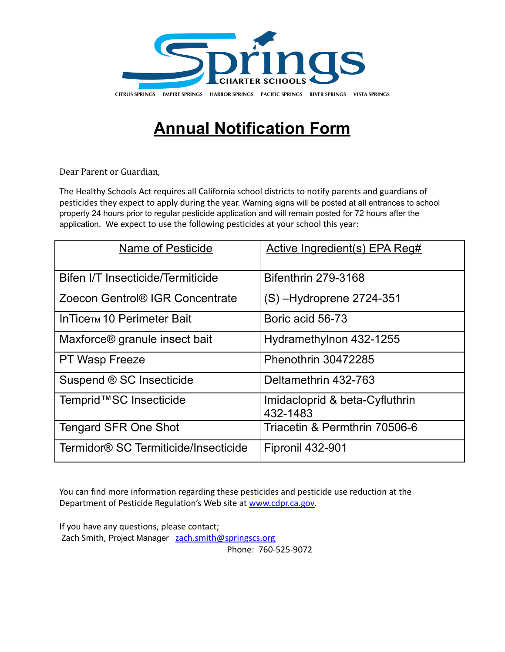

## **Annual Notification Form**

Dear Parent or Guardian,

The Healthy Schools Act requires all California school districts to notify parents and guardians of pesticides they expect to apply during the year. Warning signs will be posted at all entrances to school property 24 hours prior to regular pesticide application and will remain posted for 72 hours after the application. We expect to use the following pesticides at your school this year:

| Name of Pesticide                         | Active Ingredient(s) EPA Reg#              |
|-------------------------------------------|--------------------------------------------|
| Bifen I/T Insecticide/Termiticide         | <b>Bifenthrin 279-3168</b>                 |
| Zoecon Gentrol® IGR Concentrate           | $(S)$ –Hydroprene 2724-351                 |
| In Tice <sub>TM</sub> 10 Perimeter Bait   | Boric acid 56-73                           |
| Maxforce <sup>®</sup> granule insect bait | Hydramethylnon 432-1255                    |
| PT Wasp Freeze                            | Phenothrin 30472285                        |
| Suspend ® SC Insecticide                  | Deltamethrin 432-763                       |
| Temprid™SC Insecticide                    | Imidacloprid & beta-Cyfluthrin<br>432-1483 |
| <b>Tengard SFR One Shot</b>               | Triacetin & Permthrin 70506-6              |
| Termidor® SC Termiticide/Insecticide      | Fipronil 432-901                           |

You can find more information regarding these pesticides and pesticide use reduction at the Department of Pesticide Regulation's Web site at [www.cdpr.ca.gov.](http://www.cdpr.ca.gov)

If you have any questions, please contact; Zach Smith, Project Manager [zach.smith@springscs.org](mailto:zach.smith@springscs.org)

Phone: 760-525-9072